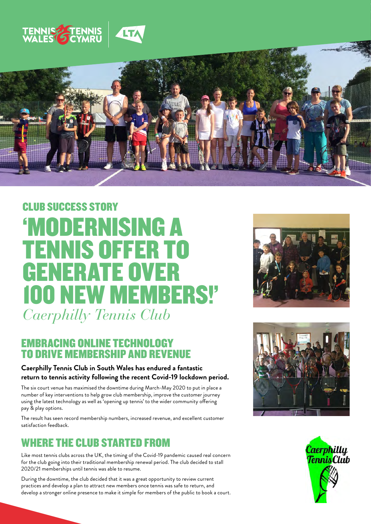



# *Caerphilly Tennis Club* 'MODERNISING A TENNIS OFFER TO GENERATE OVER 100 NEW MEMBERS!' CLUB SUCCESS STORY

#### EMBRACING ONLINE TECHNOLOGY TO DRIVE MEMBERSHIP AND REVENUE

#### **Caerphilly Tennis Club in South Wales has endured a fantastic return to tennis activity following the recent Covid-19 lockdown period.**

The six court venue has maximised the downtime during March-May 2020 to put in place a number of key interventions to help grow club membership, improve the customer journey using the latest technology as well as 'opening up tennis' to the wider community offering pay & play options.

The result has seen record membership numbers, increased revenue, and excellent customer satisfaction feedback.

#### WHERE THE CLUB STARTED FROM

Like most tennis clubs across the UK, the timing of the Covid-19 pandemic caused real concern for the club going into their traditional membership renewal period. The club decided to stall 2020/21 memberships until tennis was able to resume.

During the downtime, the club decided that it was a great opportunity to review current practices and develop a plan to attract new members once tennis was safe to return, and develop a stronger online presence to make it simple for members of the public to book a court.